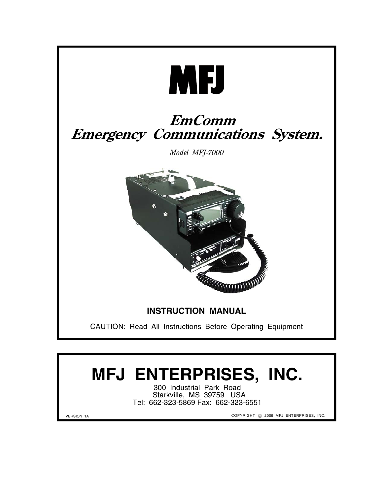

# **MFJ ENTERPRISES, INC.**

300 Industrial Park Road Starkville, MS 39759 USA Tel: 662-323-5869 Fax: 662-323-6551

VERSION 1A

COPYRIGHT © 2009 MFJ ENTERPRISES, INC.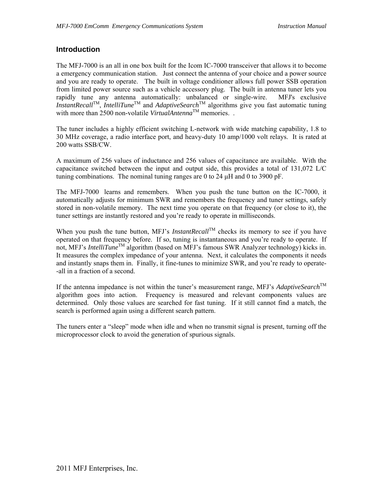#### **Introduction**

The MFJ-7000 is an all in one box built for the Icom IC-7000 transceiver that allows it to become a emergency communication station. Just connect the antenna of your choice and a power source and you are ready to operate. The built in voltage conditioner allows full power SSB operation from limited power source such as a vehicle accessory plug. The built in antenna tuner lets you rapidly tune any antenna automatically: unbalanced or single-wire. MFJ's exclusive *InstantRecall*TM, *IntelliTune*TM and *AdaptiveSearch*TM algorithms give you fast automatic tuning with more than 2500 non-volatile *VirtualAntenna*TM memories. .

The tuner includes a highly efficient switching L-network with wide matching capability, 1.8 to 30 MHz coverage, a radio interface port, and heavy-duty 10 amp/1000 volt relays. It is rated at 200 watts SSB/CW.

A maximum of 256 values of inductance and 256 values of capacitance are available. With the capacitance switched between the input and output side, this provides a total of 131,072 L/C tuning combinations. The nominal tuning ranges are 0 to 24 μH and 0 to 3900 pF.

The MFJ-7000 learns and remembers. When you push the tune button on the IC-7000, it automatically adjusts for minimum SWR and remembers the frequency and tuner settings, safely stored in non-volatile memory. The next time you operate on that frequency (or close to it), the tuner settings are instantly restored and you're ready to operate in milliseconds.

When you push the tune button, MFJ's *InstantRecall*<sup>TM</sup> checks its memory to see if you have operated on that frequency before. If so, tuning is instantaneous and you're ready to operate. If not, MFJ's *IntelliTune*TM algorithm (based on MFJ's famous SWR Analyzer technology) kicks in. It measures the complex impedance of your antenna. Next, it calculates the components it needs and instantly snaps them in. Finally, it fine-tunes to minimize SWR, and you're ready to operate- -all in a fraction of a second.

If the antenna impedance is not within the tuner's measurement range, MFJ's *AdaptiveSearch*<sup>TM</sup> algorithm goes into action. Frequency is measured and relevant components values are determined. Only those values are searched for fast tuning. If it still cannot find a match, the search is performed again using a different search pattern.

The tuners enter a "sleep" mode when idle and when no transmit signal is present, turning off the microprocessor clock to avoid the generation of spurious signals.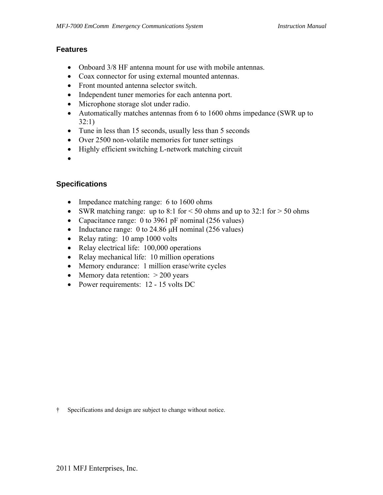#### **Features**

- Onboard 3/8 HF antenna mount for use with mobile antennas.
- Coax connector for using external mounted antennas.
- Front mounted antenna selector switch.
- Independent tuner memories for each antenna port.
- Microphone storage slot under radio.
- Automatically matches antennas from 6 to 1600 ohms impedance (SWR up to 32:1)
- Tune in less than 15 seconds, usually less than 5 seconds
- Over 2500 non-volatile memories for tuner settings
- Highly efficient switching L-network matching circuit
- •

#### **Specifications**

- Impedance matching range: 6 to 1600 ohms
- SWR matching range: up to 8:1 for  $\leq$  50 ohms and up to 32:1 for  $>$  50 ohms
- Capacitance range: 0 to 3961 pF nominal (256 values)
- Inductance range: 0 to 24.86  $\mu$ H nominal (256 values)
- Relay rating: 10 amp 1000 volts
- Relay electrical life: 100,000 operations
- Relay mechanical life: 10 million operations
- Memory endurance: 1 million erase/write cycles
- Memory data retention:  $> 200$  years
- Power requirements: 12 15 volts DC

† Specifications and design are subject to change without notice.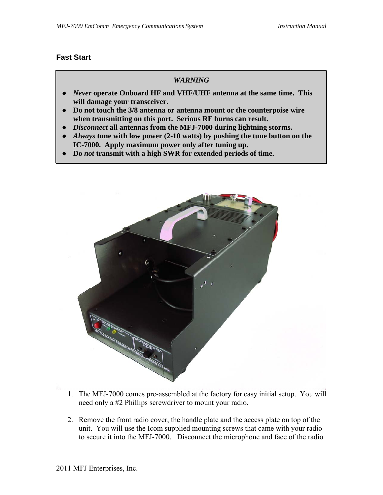#### **Fast Start**

#### *WARNING*

- *Never* **operate Onboard HF and VHF/UHF antenna at the same time. This will damage your transceiver.**
- **Do not touch the 3/8 antenna or antenna mount or the counterpoise wire when transmitting on this port. Serious RF burns can result.**
- *Disconnect* **all antennas from the MFJ-7000 during lightning storms.**
- *Always* **tune with low power (2-10 watts) by pushing the tune button on the IC-7000. Apply maximum power only after tuning up.**
- **Do** *not* **transmit with a high SWR for extended periods of time.**



- 1. The MFJ-7000 comes pre-assembled at the factory for easy initial setup. You will need only a #2 Phillips screwdriver to mount your radio.
- 2. Remove the front radio cover, the handle plate and the access plate on top of the unit. You will use the Icom supplied mounting screws that came with your radio to secure it into the MFJ-7000. Disconnect the microphone and face of the radio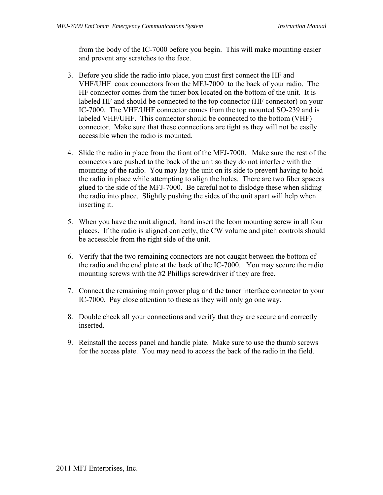from the body of the IC-7000 before you begin. This will make mounting easier and prevent any scratches to the face.

- 3. Before you slide the radio into place, you must first connect the HF and VHF/UHF coax connectors from the MFJ-7000 to the back of your radio. The HF connector comes from the tuner box located on the bottom of the unit. It is labeled HF and should be connected to the top connector (HF connector) on your IC-7000. The VHF/UHF connector comes from the top mounted SO-239 and is labeled VHF/UHF. This connector should be connected to the bottom (VHF) connector. Make sure that these connections are tight as they will not be easily accessible when the radio is mounted.
- 4. Slide the radio in place from the front of the MFJ-7000. Make sure the rest of the connectors are pushed to the back of the unit so they do not interfere with the mounting of the radio. You may lay the unit on its side to prevent having to hold the radio in place while attempting to align the holes. There are two fiber spacers glued to the side of the MFJ-7000. Be careful not to dislodge these when sliding the radio into place. Slightly pushing the sides of the unit apart will help when inserting it.
- 5. When you have the unit aligned, hand insert the Icom mounting screw in all four places. If the radio is aligned correctly, the CW volume and pitch controls should be accessible from the right side of the unit.
- 6. Verify that the two remaining connectors are not caught between the bottom of the radio and the end plate at the back of the IC-7000. You may secure the radio mounting screws with the #2 Phillips screwdriver if they are free.
- 7. Connect the remaining main power plug and the tuner interface connector to your IC-7000. Pay close attention to these as they will only go one way.
- 8. Double check all your connections and verify that they are secure and correctly inserted.
- 9. Reinstall the access panel and handle plate. Make sure to use the thumb screws for the access plate. You may need to access the back of the radio in the field.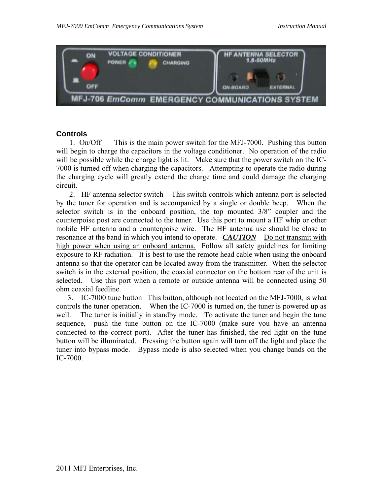

#### **Controls**

1. On/Off This is the main power switch for the MFJ-7000. Pushing this button will begin to charge the capacitors in the voltage conditioner. No operation of the radio will be possible while the charge light is lit. Make sure that the power switch on the IC-7000 is turned off when charging the capacitors. Attempting to operate the radio during the charging cycle will greatly extend the charge time and could damage the charging circuit.

 2. HF antenna selector switch This switch controls which antenna port is selected by the tuner for operation and is accompanied by a single or double beep. When the selector switch is in the onboard position, the top mounted 3/8" coupler and the counterpoise post are connected to the tuner. Use this port to mount a HF whip or other mobile HF antenna and a counterpoise wire. The HF antenna use should be close to resonance at the band in which you intend to operate. *CAUTION* Do not transmit with high power when using an onboard antenna. Follow all safety guidelines for limiting exposure to RF radiation. It is best to use the remote head cable when using the onboard antenna so that the operator can be located away from the transmitter. When the selector switch is in the external position, the coaxial connector on the bottom rear of the unit is selected. Use this port when a remote or outside antenna will be connected using 50 ohm coaxial feedline.

 3. IC-7000 tune button This button, although not located on the MFJ-7000, is what controls the tuner operation. When the IC-7000 is turned on, the tuner is powered up as well. The tuner is initially in standby mode. To activate the tuner and begin the tune sequence, push the tune button on the IC-7000 (make sure you have an antenna connected to the correct port). After the tuner has finished, the red light on the tune button will be illuminated. Pressing the button again will turn off the light and place the tuner into bypass mode. Bypass mode is also selected when you change bands on the IC-7000.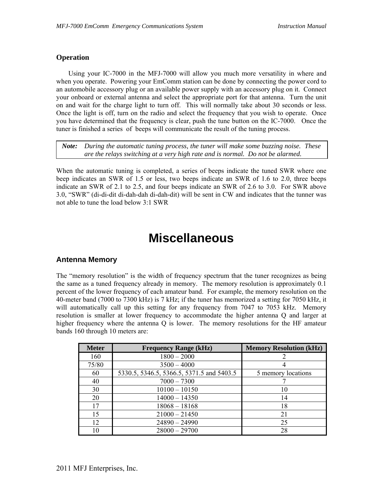#### **Operation**

 Using your IC-7000 in the MFJ-7000 will allow you much more versatility in where and when you operate. Powering your EmComm station can be done by connecting the power cord to an automobile accessory plug or an available power supply with an accessory plug on it. Connect your onboard or external antenna and select the appropriate port for that antenna. Turn the unit on and wait for the charge light to turn off. This will normally take about 30 seconds or less. Once the light is off, turn on the radio and select the frequency that you wish to operate. Once you have determined that the frequency is clear, push the tune button on the IC-7000. Once the tuner is finished a series of beeps will communicate the result of the tuning process.

*Note: During the automatic tuning process, the tuner will make some buzzing noise. These are the relays switching at a very high rate and is normal. Do not be alarmed.* 

When the automatic tuning is completed, a series of beeps indicate the tuned SWR where one beep indicates an SWR of 1.5 or less, two beeps indicate an SWR of 1.6 to 2.0, three beeps indicate an SWR of 2.1 to 2.5, and four beeps indicate an SWR of 2.6 to 3.0. For SWR above 3.0, "SWR" (di-di-dit di-dah-dah di-dah-dit) will be sent in CW and indicates that the tunner was not able to tune the load below 3:1 SWR

# **Miscellaneous**

#### **Antenna Memory**

The "memory resolution" is the width of frequency spectrum that the tuner recognizes as being the same as a tuned frequency already in memory. The memory resolution is approximately 0.1 percent of the lower frequency of each amateur band. For example, the memory resolution on the 40-meter band (7000 to 7300 kHz) is 7 kHz; if the tuner has memorized a setting for 7050 kHz, it will automatically call up this setting for any frequency from 7047 to 7053 kHz. Memory resolution is smaller at lower frequency to accommodate the higher antenna Q and larger at higher frequency where the antenna Q is lower. The memory resolutions for the HF amateur bands 160 through 10 meters are:

| <b>Meter</b> | <b>Frequency Range (kHz)</b>              | <b>Memory Resolution (kHz)</b> |
|--------------|-------------------------------------------|--------------------------------|
| 160          | $1800 - 2000$                             |                                |
| 75/80        | $3500 - 4000$                             |                                |
| 60           | 5330.5, 5346.5, 5366.5, 5371.5 and 5403.5 | 5 memory locations             |
| 40           | $7000 - 7300$                             |                                |
| 30           | $10100 - 10150$                           | 10                             |
| 20           | $14000 - 14350$                           | 14                             |
| 17           | $18068 - 18168$                           | 18                             |
| 15           | $21000 - 21450$                           | 21                             |
| 12           | $24890 - 24990$                           | 25                             |
| 10           | $28000 - 29700$                           | 28                             |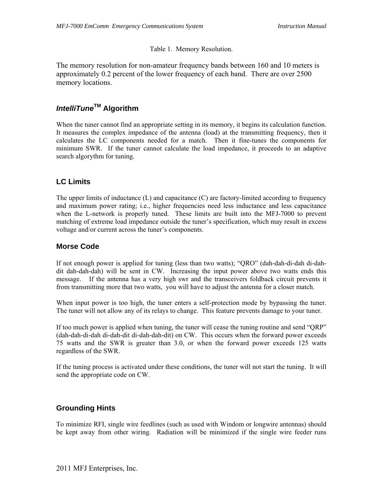#### Table 1. Memory Resolution.

The memory resolution for non-amateur frequency bands between 160 and 10 meters is approximately 0.2 percent of the lower frequency of each band. There are over 2500 memory locations.

### *IntelliTune***TM Algorithm**

When the tuner cannot find an appropriate setting in its memory, it begins its calculation function. It measures the complex impedance of the antenna (load) at the transmitting frequency, then it calculates the LC components needed for a match. Then it fine-tunes the components for minimum SWR. If the tuner cannot calculate the load impedance, it proceeds to an adaptive search algorythm for tuning.

#### **LC Limits**

The upper limits of inductance (L) and capacitance (C) are factory-limited according to frequency and maximum power rating; i.e., higher frequencies need less inductance and less capacitance when the L-network is properly tuned. These limits are built into the MFJ-7000 to prevent matching of extreme load impedance outside the tuner's specification, which may result in excess voltage and/or current across the tuner's components.

#### **Morse Code**

If not enough power is applied for tuning (less than two watts); "QRO" (dah-dah-di-dah di-dahdit dah-dah-dah) will be sent in CW. Increasing the input power above two watts ends this message. If the antenna has a very high swr and the transceivers foldback circuit prevents it from transmitting more that two watts, you will have to adjust the antenna for a closer match.

When input power is too high, the tuner enters a self-protection mode by bypassing the tuner. The tuner will not allow any of its relays to change. This feature prevents damage to your tuner.

If too much power is applied when tuning, the tuner will cease the tuning routine and send "QRP" (dah-dah-di-dah di-dah-dit di-dah-dah-dit) on CW. This occurs when the forward power exceeds 75 watts and the SWR is greater than 3.0, or when the forward power exceeds 125 watts regardless of the SWR.

If the tuning process is activated under these conditions, the tuner will not start the tuning. It will send the appropriate code on CW.

#### **Grounding Hints**

To minimize RFI, single wire feedlines (such as used with Windom or longwire antennas) should be kept away from other wiring. Radiation will be minimized if the single wire feeder runs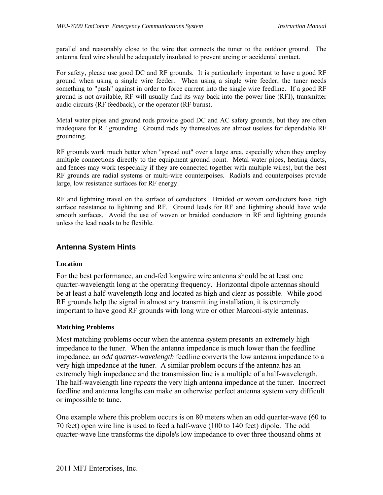parallel and reasonably close to the wire that connects the tuner to the outdoor ground. The antenna feed wire should be adequately insulated to prevent arcing or accidental contact.

For safety, please use good DC and RF grounds. It is particularly important to have a good RF ground when using a single wire feeder. When using a single wire feeder, the tuner needs something to "push" against in order to force current into the single wire feedline. If a good RF ground is not available, RF will usually find its way back into the power line (RFI), transmitter audio circuits (RF feedback), or the operator (RF burns).

Metal water pipes and ground rods provide good DC and AC safety grounds, but they are often inadequate for RF grounding. Ground rods by themselves are almost useless for dependable RF grounding.

RF grounds work much better when "spread out" over a large area, especially when they employ multiple connections directly to the equipment ground point. Metal water pipes, heating ducts, and fences may work (especially if they are connected together with multiple wires), but the best RF grounds are radial systems or multi-wire counterpoises. Radials and counterpoises provide large, low resistance surfaces for RF energy.

RF and lightning travel on the surface of conductors. Braided or woven conductors have high surface resistance to lightning and RF. Ground leads for RF and lightning should have wide smooth surfaces. Avoid the use of woven or braided conductors in RF and lightning grounds unless the lead needs to be flexible.

#### **Antenna System Hints**

#### **Location**

For the best performance, an end-fed longwire wire antenna should be at least one quarter-wavelength long at the operating frequency. Horizontal dipole antennas should be at least a half-wavelength long and located as high and clear as possible. While good RF grounds help the signal in almost any transmitting installation, it is extremely important to have good RF grounds with long wire or other Marconi-style antennas.

#### **Matching Problems**

Most matching problems occur when the antenna system presents an extremely high impedance to the tuner. When the antenna impedance is much lower than the feedline impedance, an *odd quarter-wavelength* feedline converts the low antenna impedance to a very high impedance at the tuner. A similar problem occurs if the antenna has an extremely high impedance and the transmission line is a multiple of a half-wavelength. The half-wavelength line *repeats* the very high antenna impedance at the tuner. Incorrect feedline and antenna lengths can make an otherwise perfect antenna system very difficult or impossible to tune.

One example where this problem occurs is on 80 meters when an odd quarter-wave (60 to 70 feet) open wire line is used to feed a half-wave (100 to 140 feet) dipole. The odd quarter-wave line transforms the dipole's low impedance to over three thousand ohms at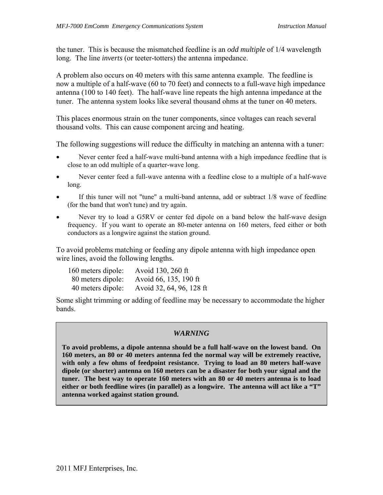the tuner. This is because the mismatched feedline is an *odd multiple* of 1/4 wavelength long. The line *inverts* (or teeter-totters) the antenna impedance.

A problem also occurs on 40 meters with this same antenna example. The feedline is now a multiple of a half-wave (60 to 70 feet) and connects to a full-wave high impedance antenna (100 to 140 feet). The half-wave line repeats the high antenna impedance at the tuner. The antenna system looks like several thousand ohms at the tuner on 40 meters.

This places enormous strain on the tuner components, since voltages can reach several thousand volts. This can cause component arcing and heating.

The following suggestions will reduce the difficulty in matching an antenna with a tuner:

- Never center feed a half-wave multi-band antenna with a high impedance feedline that is close to an odd multiple of a quarter-wave long.
- Never center feed a full-wave antenna with a feedline close to a multiple of a half-wave long.
- If this tuner will not "tune" a multi-band antenna, add or subtract 1/8 wave of feedline (for the band that won't tune) and try again.
- Never try to load a G5RV or center fed dipole on a band below the half-wave design frequency. If you want to operate an 80-meter antenna on 160 meters, feed either or both conductors as a longwire against the station ground.

To avoid problems matching or feeding any dipole antenna with high impedance open wire lines, avoid the following lengths.

| 160 meters dipole: | Avoid 130, 260 ft        |
|--------------------|--------------------------|
| 80 meters dipole:  | Avoid 66, 135, 190 ft    |
| 40 meters dipole:  | Avoid 32, 64, 96, 128 ft |

Some slight trimming or adding of feedline may be necessary to accommodate the higher bands.

#### *WARNING*

**To avoid problems, a dipole antenna should be a full half-wave on the lowest band. On 160 meters, an 80 or 40 meters antenna fed the normal way will be extremely reactive, with only a few ohms of feedpoint resistance. Trying to load an 80 meters half-wave dipole (or shorter) antenna on 160 meters can be a disaster for both your signal and the tuner. The best way to operate 160 meters with an 80 or 40 meters antenna is to load either or both feedline wires (in parallel) as a longwire. The antenna will act like a "T" antenna worked against station ground.**